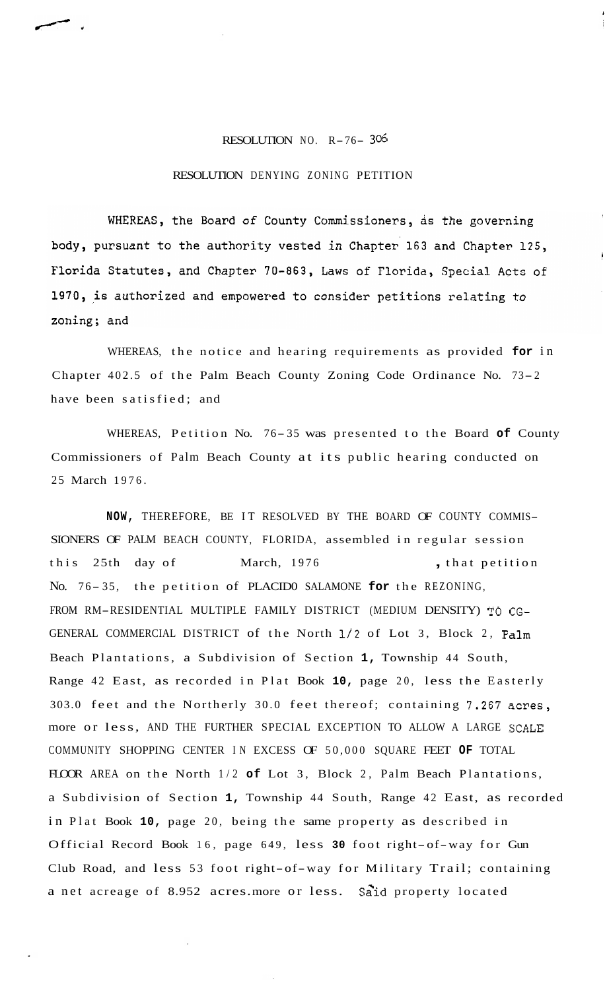## RESOLUTION NO. R-76- **<sup>36</sup>**

## RESOLUTION DENYING ZONING PETITION

WHEREAS, the Board of County Commissioners, as the governing body, pursuant to the authority vested in Chapter 163 and Chapter 125, Florida Statutes, and Chapter 70-863, Laws of Florida, Special Acts of 1970, is authorized and empowered to consider petitions relating to zoning; and

WHEREAS, the notice and hearing requirements as provided **for** in Chapter 402.5 of the Palm Beach County Zoning Code Ordinance No. 73-2 have been satisfied; and

WHEREAS, Petition No. 76- 35 was presented to the Board **of** County Commissioners of Palm Beach County at its public hearing conducted on 25 March 1976.

**NOW,** THEREFORE, BE IT RESOLVED BY THE BOARD OF COUNTY COMMIS-SIONERS OF PALM BEACH COUNTY, FLORIDA, assembled in regular session this 25th day of March, 1976 , that petition No. 76-35, the petition of PLACIDO SALAMONE for the REZONING, FROM RM-RESIDENTIAL MULTIPLE FAMILY DISTRICT (MEDIUM DENSITY) TO CG-GENERAL COMMERCIAL DISTRICT of the North 1/2 of Lot 3, Block 2, Palm Beach Plantations, a Subdivision of Section **1,** Township 44 South, Range 42 East, as recorded in Plat Book **10,** page 20, less the Easterly 303.0 feet and the Northerly 30.0 feet thereof; containing 7,267 acres, more or less, AND THE FURTHER SPECIAL EXCEPTION TO ALLOW A LARGE SCALE COMMUNITY SHOPPING CENTER IN EXCESS OF 50,000 SQUARE FEET **OF** TOTAL FLOOR AREA on the North 1/2 **of** Lot 3, Block 2, Palm Beach Plantations, a Subdivision of Section **1,** Township 44 South, Range 42 East, as recorded in Plat Book **10,** page 20, being the same property as described in Official Record Book 16, page 649, less **30** foot right-of-way for Gun Club Road, and less 53 foot right-of-way for Military Trail; containing a net acreage of 8.952 acres.more or less. Said property located